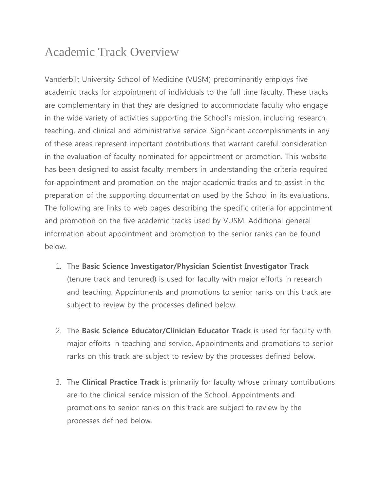# Academic Track Overview

Vanderbilt University School of Medicine (VUSM) predominantly employs five academic tracks for appointment of individuals to the full time faculty. These tracks are complementary in that they are designed to accommodate faculty who engage in the wide variety of activities supporting the School's mission, including research, teaching, and clinical and administrative service. Significant accomplishments in any of these areas represent important contributions that warrant careful consideration in the evaluation of faculty nominated for appointment or promotion. This website has been designed to assist faculty members in understanding the criteria required for appointment and promotion on the major academic tracks and to assist in the preparation of the supporting documentation used by the School in its evaluations. The following are links to web pages describing the specific criteria for appointment and promotion on the five academic tracks used by VUSM. Additional general information about appointment and promotion to the senior ranks can be found below.

- 1. The **Basic Science Investigator/Physician Scientist Investigator Track** (tenure track and tenured) is used for faculty with major efforts in research and teaching. Appointments and promotions to senior ranks on this track are subject to review by the processes defined below.
- 2. The **Basic Science Educator/Clinician Educator Track** is used for faculty with major efforts in teaching and service. Appointments and promotions to senior ranks on this track are subject to review by the processes defined below.
- 3. The **Clinical Practice Track** is primarily for faculty whose primary contributions are to the clinical service mission of the School. Appointments and promotions to senior ranks on this track are subject to review by the processes defined below.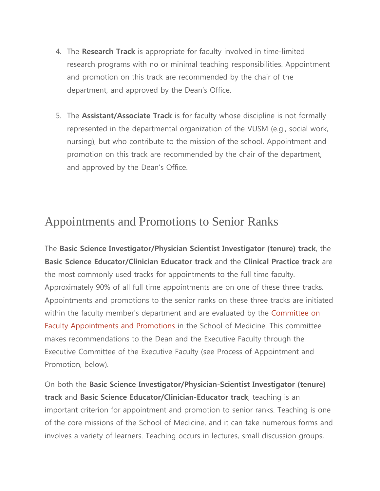- 4. The **Research Track** is appropriate for faculty involved in time-limited research programs with no or minimal teaching responsibilities. Appointment and promotion on this track are recommended by the chair of the department, and approved by the Dean's Office.
- 5. The **Assistant/Associate Track** is for faculty whose discipline is not formally represented in the departmental organization of the VUSM (e.g., social work, nursing), but who contribute to the mission of the school. Appointment and promotion on this track are recommended by the chair of the department, and approved by the Dean's Office.

# Appointments and Promotions to Senior Ranks

The **Basic Science Investigator/Physician Scientist Investigator (tenure) track**, the **Basic Science Educator/Clinician Educator track** and the **Clinical Practice track** are the most commonly used tracks for appointments to the full time faculty. Approximately 90% of all full time appointments are on one of these three tracks. Appointments and promotions to the senior ranks on these three tracks are initiated within the faculty member's department and are evaluated by the [Committee on](https://medschool.vanderbilt.edu/faculty/appointments-promotions-committee)  [Faculty Appointments and Promotions](https://medschool.vanderbilt.edu/faculty/appointments-promotions-committee) in the School of Medicine. This committee makes recommendations to the Dean and the Executive Faculty through the Executive Committee of the Executive Faculty (see Process of Appointment and Promotion, below).

On both the **Basic Science Investigator/Physician-Scientist Investigator (tenure) track** and **Basic Science Educator/Clinician-Educator track**, teaching is an important criterion for appointment and promotion to senior ranks. Teaching is one of the core missions of the School of Medicine, and it can take numerous forms and involves a variety of learners. Teaching occurs in lectures, small discussion groups,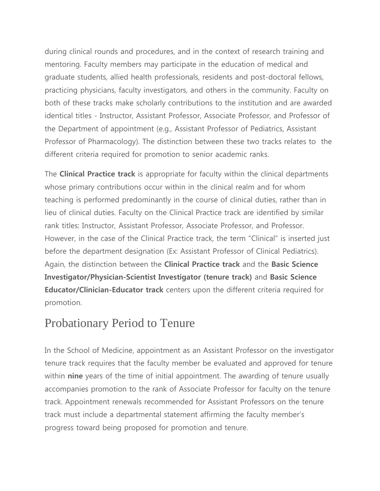during clinical rounds and procedures, and in the context of research training and mentoring. Faculty members may participate in the education of medical and graduate students, allied health professionals, residents and post-doctoral fellows, practicing physicians, faculty investigators, and others in the community. Faculty on both of these tracks make scholarly contributions to the institution and are awarded identical titles - Instructor, Assistant Professor, Associate Professor, and Professor of the Department of appointment (e.g., Assistant Professor of Pediatrics, Assistant Professor of Pharmacology). The distinction between these two tracks relates to the different criteria required for promotion to senior academic ranks.

The **Clinical Practice track** is appropriate for faculty within the clinical departments whose primary contributions occur within in the clinical realm and for whom teaching is performed predominantly in the course of clinical duties, rather than in lieu of clinical duties. Faculty on the Clinical Practice track are identified by similar rank titles: Instructor, Assistant Professor, Associate Professor, and Professor. However, in the case of the Clinical Practice track, the term "Clinical" is inserted just before the department designation (Ex: Assistant Professor of Clinical Pediatrics). Again, the distinction between the **Clinical Practice track** and the **Basic Science Investigator/Physician-Scientist Investigator (tenure track)** and **Basic Science Educator/Clinician-Educator track** centers upon the different criteria required for promotion.

## Probationary Period to Tenure

In the School of Medicine, appointment as an Assistant Professor on the investigator tenure track requires that the faculty member be evaluated and approved for tenure within **nine** years of the time of initial appointment. The awarding of tenure usually accompanies promotion to the rank of Associate Professor for faculty on the tenure track. Appointment renewals recommended for Assistant Professors on the tenure track must include a departmental statement affirming the faculty member's progress toward being proposed for promotion and tenure.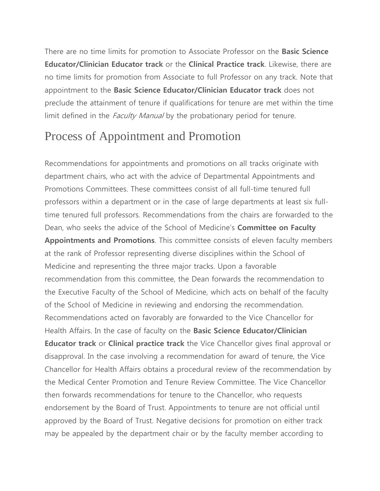There are no time limits for promotion to Associate Professor on the **Basic Science Educator/Clinician Educator track** or the **Clinical Practice track**. Likewise, there are no time limits for promotion from Associate to full Professor on any track. Note that appointment to the **Basic Science Educator/Clinician Educator track** does not preclude the attainment of tenure if qualifications for tenure are met within the time limit defined in the *Faculty Manual* by the probationary period for tenure.

## Process of Appointment and Promotion

Recommendations for appointments and promotions on all tracks originate with department chairs, who act with the advice of Departmental Appointments and Promotions Committees. These committees consist of all full-time tenured full professors within a department or in the case of large departments at least six fulltime tenured full professors. Recommendations from the chairs are forwarded to the Dean, who seeks the advice of the School of Medicine's **Committee on Faculty Appointments and Promotions**. This committee consists of eleven faculty members at the rank of Professor representing diverse disciplines within the School of Medicine and representing the three major tracks. Upon a favorable recommendation from this committee, the Dean forwards the recommendation to the Executive Faculty of the School of Medicine, which acts on behalf of the faculty of the School of Medicine in reviewing and endorsing the recommendation. Recommendations acted on favorably are forwarded to the Vice Chancellor for Health Affairs. In the case of faculty on the **Basic Science Educator/Clinician Educator track** or **Clinical practice track** the Vice Chancellor gives final approval or disapproval. In the case involving a recommendation for award of tenure, the Vice Chancellor for Health Affairs obtains a procedural review of the recommendation by the Medical Center Promotion and Tenure Review Committee. The Vice Chancellor then forwards recommendations for tenure to the Chancellor, who requests endorsement by the Board of Trust. Appointments to tenure are not official until approved by the Board of Trust. Negative decisions for promotion on either track may be appealed by the department chair or by the faculty member according to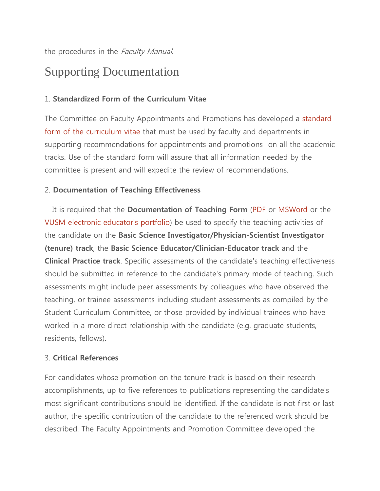the procedures in the Faculty Manual.

# Supporting Documentation

## 1. **Standardized Form of the Curriculum Vitae**

The Committee on Faculty Appointments and Promotions has developed a [standard](https://medschool.vanderbilt.edu/faculty/required-format-curriculum-vitae)  [form of the curriculum vitae](https://medschool.vanderbilt.edu/faculty/required-format-curriculum-vitae) that must be used by faculty and departments in supporting recommendations for appointments and promotions on all the academic tracks. Use of the standard form will assure that all information needed by the committee is present and will expedite the review of recommendations.

## 2. **Documentation of Teaching Effectiveness**

It is required that the **Documentation of Teaching Form** [\(PDF](https://medschool.vanderbilt.edu/faculty/files/faculty/public_files/TeachingForm.pdf) or [MSWord](https://medschool.vanderbilt.edu/faculty/files/faculty/public_files/TeachingForm.doc) or the [VUSM electronic educator's portfolio\)](https://medapps.mc.vanderbilt.edu/eduport) be used to specify the teaching activities of the candidate on the **Basic Science Investigator/Physician-Scientist Investigator (tenure) track**, the **Basic Science Educator/Clinician-Educator track** and the **Clinical Practice track**. Specific assessments of the candidate's teaching effectiveness should be submitted in reference to the candidate's primary mode of teaching. Such assessments might include peer assessments by colleagues who have observed the teaching, or trainee assessments including student assessments as compiled by the Student Curriculum Committee, or those provided by individual trainees who have worked in a more direct relationship with the candidate (e.g. graduate students, residents, fellows).

#### 3. **Critical References**

For candidates whose promotion on the tenure track is based on their research accomplishments, up to five references to publications representing the candidate's most significant contributions should be identified. If the candidate is not first or last author, the specific contribution of the candidate to the referenced work should be described. The Faculty Appointments and Promotion Committee developed the